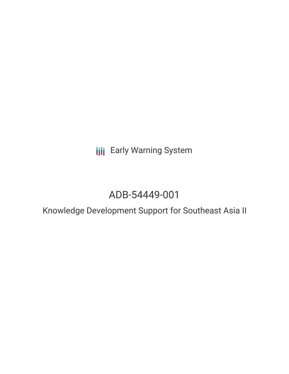**III** Early Warning System

# ADB-54449-001

Knowledge Development Support for Southeast Asia II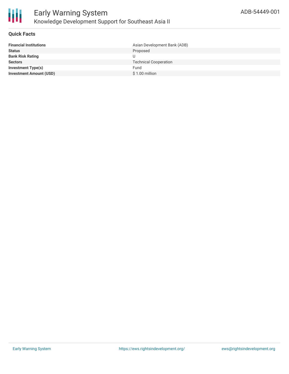

# **Quick Facts**

| <b>Financial Institutions</b>  | Asian Development Bank (ADB) |
|--------------------------------|------------------------------|
| <b>Status</b>                  | Proposed                     |
| <b>Bank Risk Rating</b>        |                              |
| <b>Sectors</b>                 | <b>Technical Cooperation</b> |
| <b>Investment Type(s)</b>      | Fund                         |
| <b>Investment Amount (USD)</b> | $$1.00$ million              |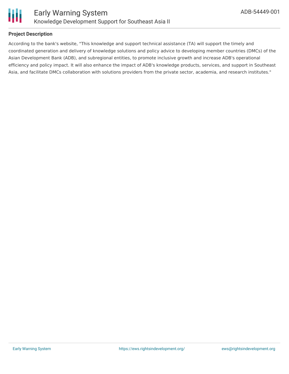

# **Project Description**

According to the bank's website, "This knowledge and support technical assistance (TA) will support the timely and coordinated generation and delivery of knowledge solutions and policy advice to developing member countries (DMCs) of the Asian Development Bank (ADB), and subregional entities, to promote inclusive growth and increase ADB's operational efficiency and policy impact. It will also enhance the impact of ADB's knowledge products, services, and support in Southeast Asia, and facilitate DMCs collaboration with solutions providers from the private sector, academia, and research institutes."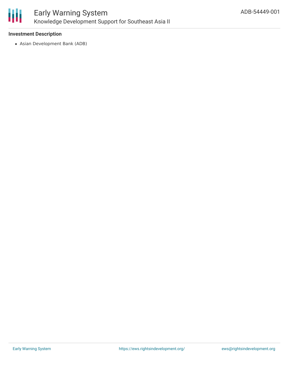

# **Investment Description**

Asian Development Bank (ADB)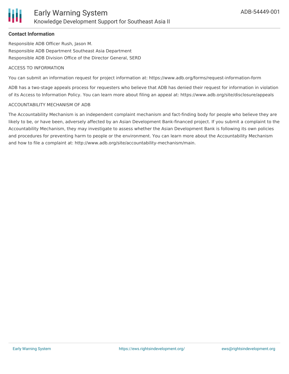### **Contact Information**

Responsible ADB Officer Rush, Jason M. Responsible ADB Department Southeast Asia Department Responsible ADB Division Office of the Director General, SERD

#### ACCESS TO INFORMATION

You can submit an information request for project information at: https://www.adb.org/forms/request-information-form

ADB has a two-stage appeals process for requesters who believe that ADB has denied their request for information in violation of its Access to Information Policy. You can learn more about filing an appeal at: https://www.adb.org/site/disclosure/appeals

#### ACCOUNTABILITY MECHANISM OF ADB

The Accountability Mechanism is an independent complaint mechanism and fact-finding body for people who believe they are likely to be, or have been, adversely affected by an Asian Development Bank-financed project. If you submit a complaint to the Accountability Mechanism, they may investigate to assess whether the Asian Development Bank is following its own policies and procedures for preventing harm to people or the environment. You can learn more about the Accountability Mechanism and how to file a complaint at: http://www.adb.org/site/accountability-mechanism/main.